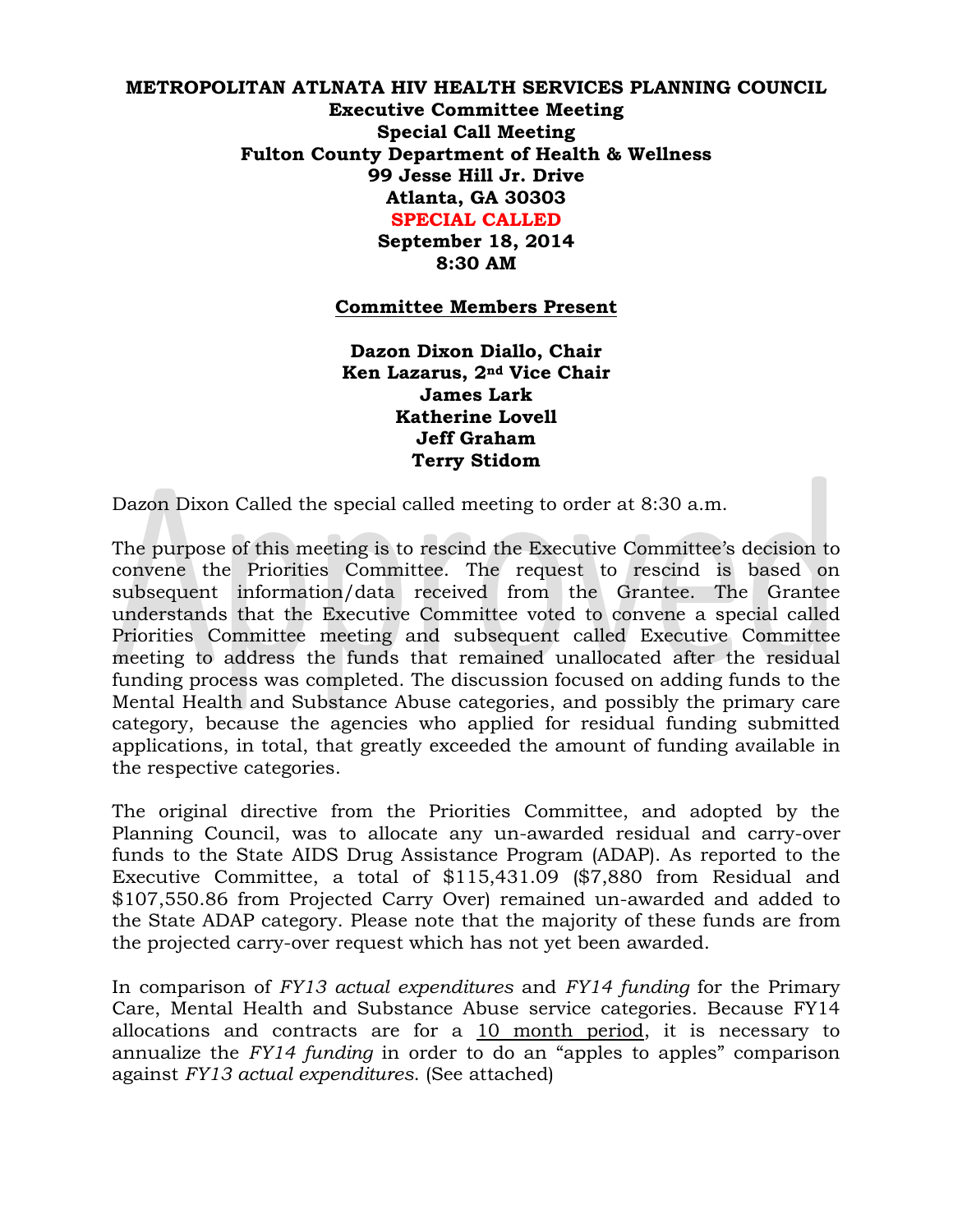## **METROPOLITAN ATLNATA HIV HEALTH SERVICES PLANNING COUNCIL Executive Committee Meeting Special Call Meeting Fulton County Department of Health & Wellness 99 Jesse Hill Jr. Drive Atlanta, GA 30303 SPECIAL CALLED**

**September 18, 2014 8:30 AM**

## **Committee Members Present**

**Dazon Dixon Diallo, Chair Ken Lazarus, 2nd Vice Chair James Lark Katherine Lovell Jeff Graham Terry Stidom** 

Dazon Dixon Called the special called meeting to order at 8:30 a.m.

The purpose of this meeting is to rescind the Executive Committee's decision to convene the Priorities Committee. The request to rescind is based on subsequent information/data received from the Grantee. The Grantee understands that the Executive Committee voted to convene a special called Priorities Committee meeting and subsequent called Executive Committee meeting to address the funds that remained unallocated after the residual funding process was completed. The discussion focused on adding funds to the Mental Health and Substance Abuse categories, and possibly the primary care category, because the agencies who applied for residual funding submitted applications, in total, that greatly exceeded the amount of funding available in the respective categories.

The original directive from the Priorities Committee, and adopted by the Planning Council, was to allocate any un-awarded residual and carry-over funds to the State AIDS Drug Assistance Program (ADAP). As reported to the Executive Committee, a total of \$115,431.09 (\$7,880 from Residual and \$107,550.86 from Projected Carry Over) remained un-awarded and added to the State ADAP category. Please note that the majority of these funds are from the projected carry-over request which has not yet been awarded.

In comparison of *FY13 actual expenditures* and *FY14 funding* for the Primary Care, Mental Health and Substance Abuse service categories. Because FY14 allocations and contracts are for a 10 month period, it is necessary to annualize the *FY14 funding* in order to do an "apples to apples" comparison against *FY13 actual expenditures*. (See attached)